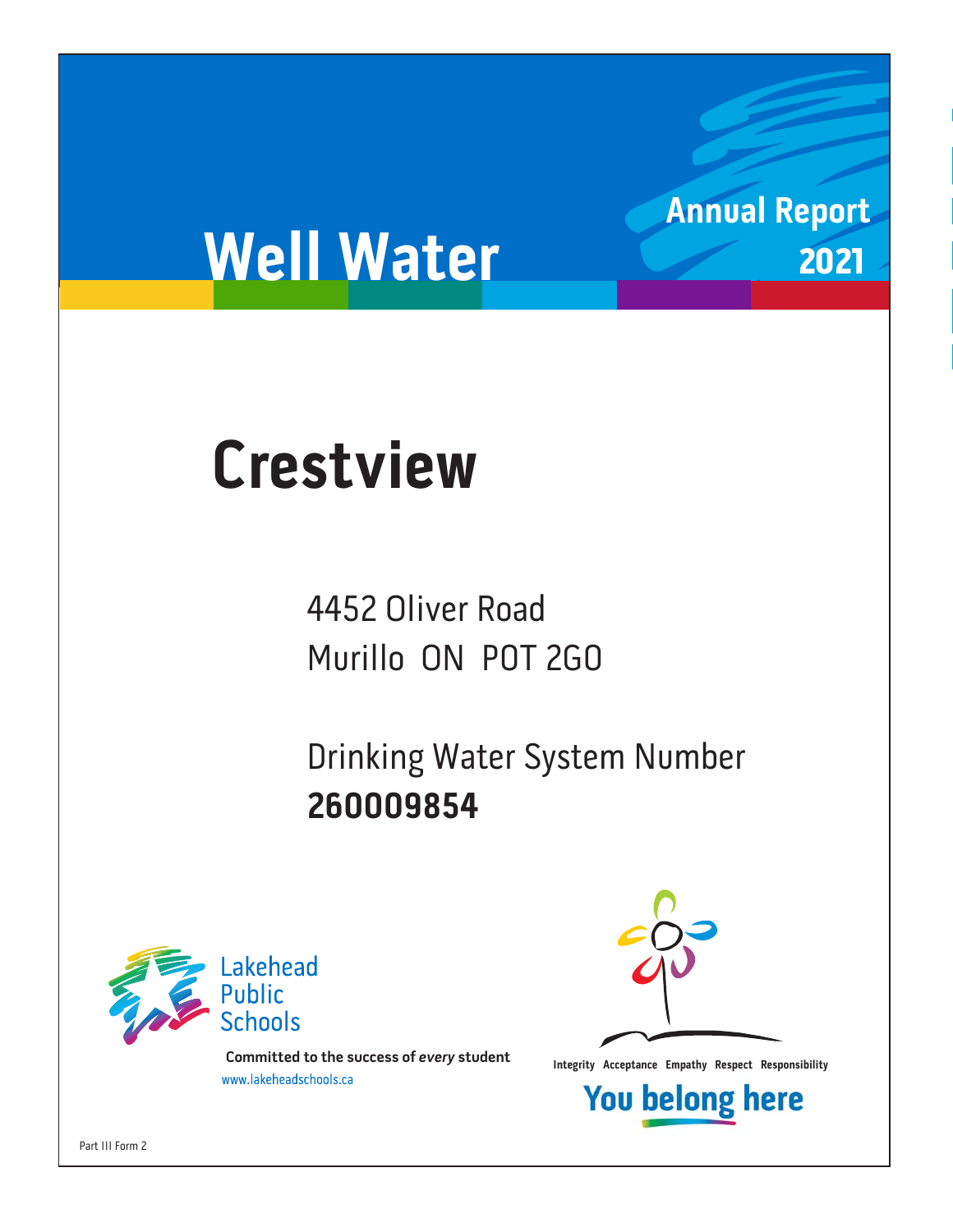# **Annual Report** 2021

# **Well Water**

# **Crestview**

4452 Oliver Road Murillo ON P0T 2G0

Drinking Water System Number 260009854 **260009854**



**Integrity Acceptance Empathy Respect Responsibility integrity Acceptance Empathy Respect Responsibility Example 1** 



**You belong here** 

Part III Form 2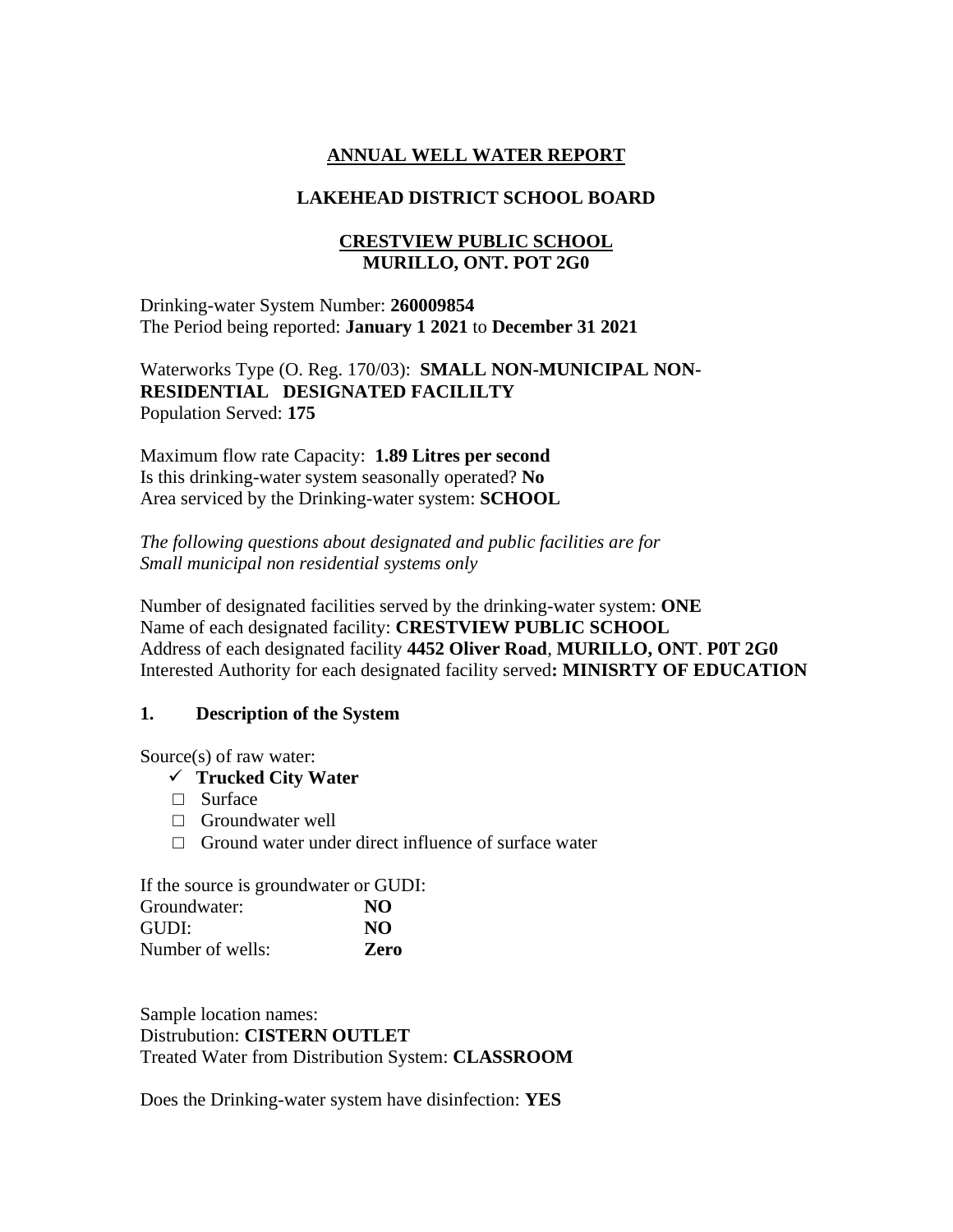### **ANNUAL WELL WATER REPORT**

#### **LAKEHEAD DISTRICT SCHOOL BOARD**

#### **CRESTVIEW PUBLIC SCHOOL MURILLO, ONT. POT 2G0**

Drinking-water System Number: **260009854** The Period being reported: **January 1 2021** to **December 31 2021**

Waterworks Type (O. Reg. 170/03): **SMALL NON-MUNICIPAL NON-RESIDENTIAL DESIGNATED FACILILTY**  Population Served: **175**

Maximum flow rate Capacity: **1.89 Litres per second** Is this drinking-water system seasonally operated? **No** Area serviced by the Drinking-water system: **SCHOOL**

*The following questions about designated and public facilities are for Small municipal non residential systems only* 

Number of designated facilities served by the drinking-water system: **ONE** Name of each designated facility: **CRESTVIEW PUBLIC SCHOOL** Address of each designated facility **4452 Oliver Road**, **MURILLO, ONT**. **P0T 2G0** Interested Authority for each designated facility served**: MINISRTY OF EDUCATION**

#### **1. Description of the System**

Source(s) of raw water:

- ✓ **Trucked City Water**
- □ Surface
- □ Groundwater well
- $\Box$  Ground water under direct influence of surface water

If the source is groundwater or GUDI:

| Groundwater:     | NO          |
|------------------|-------------|
| GUDI:            | NO.         |
| Number of wells: | <b>Zero</b> |

Sample location names: Distrubution: **CISTERN OUTLET** Treated Water from Distribution System: **CLASSROOM**

Does the Drinking-water system have disinfection: **YES**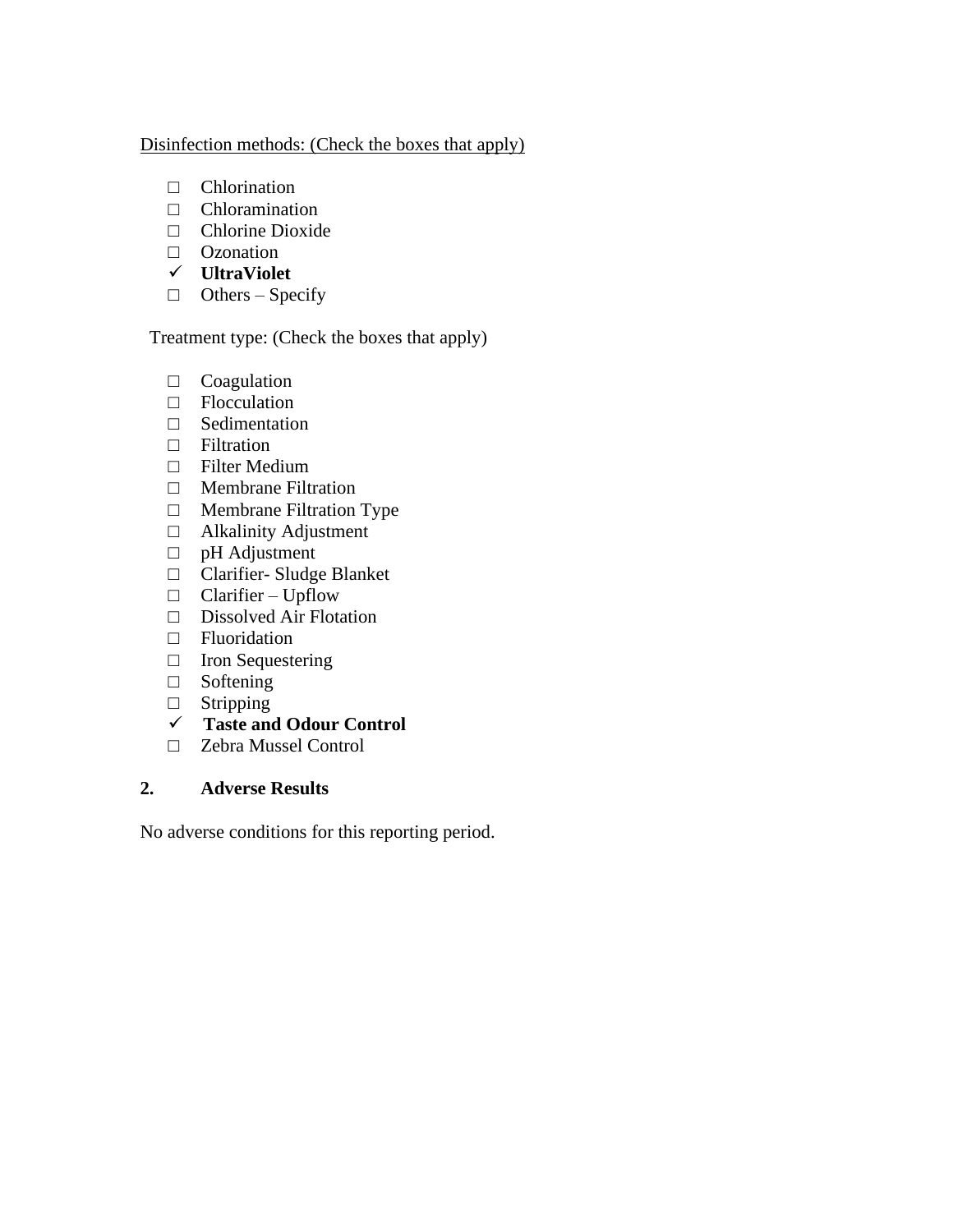#### Disinfection methods: (Check the boxes that apply)

- □ Chlorination
- □ Chloramination
- □ Chlorine Dioxide
- □ Ozonation
- ✓ **UltraViolet**
- $\Box$  Others Specify

Treatment type: (Check the boxes that apply)

- □ Coagulation
- □ Flocculation
- □ Sedimentation
- □ Filtration
- □ Filter Medium
- □ Membrane Filtration
- □ Membrane Filtration Type
- □ Alkalinity Adjustment
- □ pH Adjustment
- □ Clarifier- Sludge Blanket
- $\Box$  Clarifier Upflow
- □ Dissolved Air Flotation
- □ Fluoridation
- □ Iron Sequestering
- □ Softening
- □ Stripping
- ✓ **Taste and Odour Control**
- □ Zebra Mussel Control

# **2. Adverse Results**

No adverse conditions for this reporting period.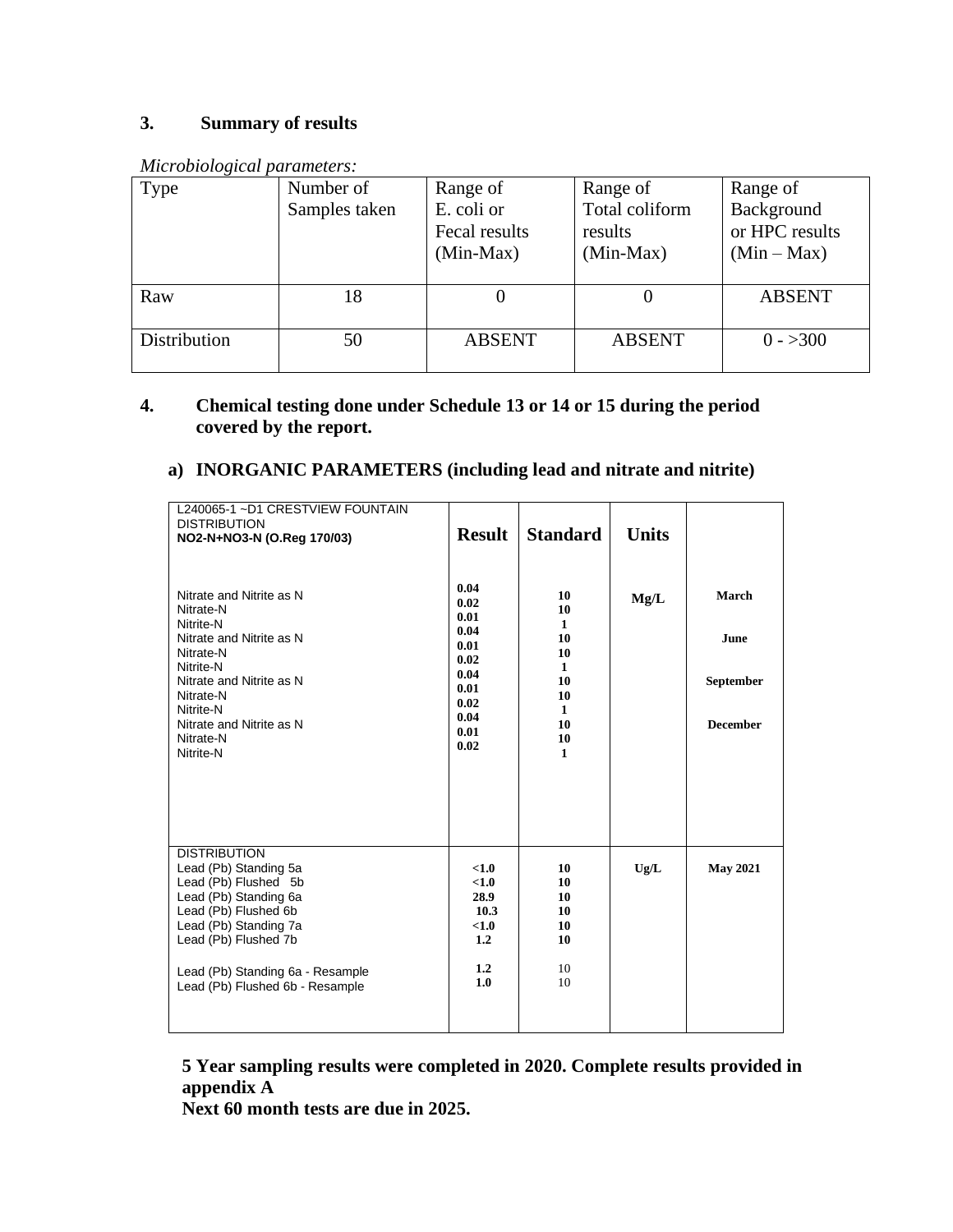# **3. Summary of results**

| <i>murophological parameters.</i> |               |                                            |                                          |                                             |
|-----------------------------------|---------------|--------------------------------------------|------------------------------------------|---------------------------------------------|
| Type                              | Number of     | Range of                                   | Range of                                 | Range of                                    |
|                                   | Samples taken | E. coli or<br>Fecal results<br>$(Min-Max)$ | Total coliform<br>results<br>$(Min-Max)$ | Background<br>or HPC results<br>$(Min-Max)$ |
|                                   |               |                                            |                                          |                                             |
| Raw                               | 18            |                                            |                                          | <b>ABSENT</b>                               |
| Distribution                      | 50            | <b>ABSENT</b>                              | <b>ABSENT</b>                            | $0 - >300$                                  |

*Microbiological parameters:* 

# **4. Chemical testing done under Schedule 13 or 14 or 15 during the period covered by the report.**

### **a) INORGANIC PARAMETERS (including lead and nitrate and nitrite)**

| L240065-1~D1 CRESTVIEW FOUNTAIN<br><b>DISTRIBUTION</b><br>NO2-N+NO3-N (O.Reg 170/03)<br>Nitrate and Nitrite as N<br>Nitrate-N<br>Nitrite-N<br>Nitrate and Nitrite as N<br>Nitrate-N<br>Nitrite-N<br>Nitrate and Nitrite as N<br>Nitrate-N<br>Nitrite-N<br>Nitrate and Nitrite as N<br>Nitrate-N<br>Nitrite-N | <b>Result</b><br>0.04<br>0.02<br>0.01<br>0.04<br>0.01<br>0.02<br>0.04<br>0.01<br>0.02<br>0.04<br>0.01<br>0.02 | <b>Standard</b><br>10<br>10<br>$\mathbf{1}$<br>10<br>10<br>$\mathbf{1}$<br>10<br>10<br>$\mathbf{1}$<br>10<br>10<br>$\mathbf{1}$ | <b>Units</b><br>Mg/L | March<br><b>June</b><br><b>September</b><br><b>December</b> |
|--------------------------------------------------------------------------------------------------------------------------------------------------------------------------------------------------------------------------------------------------------------------------------------------------------------|---------------------------------------------------------------------------------------------------------------|---------------------------------------------------------------------------------------------------------------------------------|----------------------|-------------------------------------------------------------|
| <b>DISTRIBUTION</b><br>Lead (Pb) Standing 5a<br>Lead (Pb) Flushed 5b<br>Lead (Pb) Standing 6a<br>Lead (Pb) Flushed 6b<br>Lead (Pb) Standing 7a<br>Lead (Pb) Flushed 7b<br>Lead (Pb) Standing 6a - Resample<br>Lead (Pb) Flushed 6b - Resample                                                                | < 1.0<br>< 1.0<br>28.9<br>10.3<br>< 1.0<br>1.2<br>1.2<br>1.0                                                  | 10<br>10<br>10<br>10<br>10<br>10<br>10<br>10                                                                                    | Ug/L                 | <b>May 2021</b>                                             |

**5 Year sampling results were completed in 2020. Complete results provided in appendix A**

**Next 60 month tests are due in 2025.**